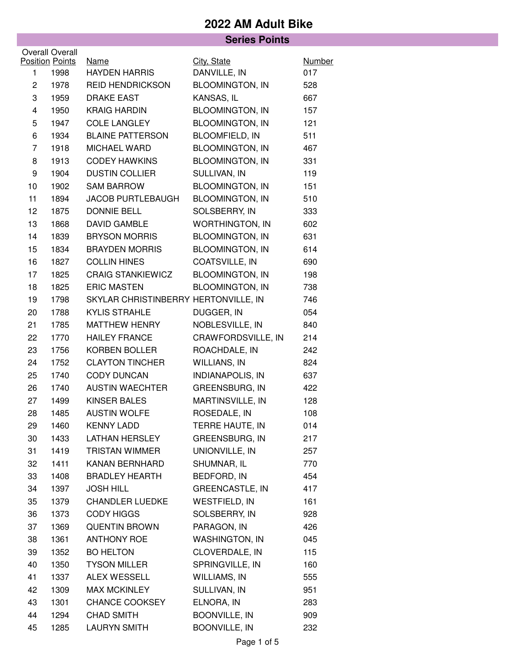| <b>Series Points</b> |                                |                                      |                             |                      |  |  |
|----------------------|--------------------------------|--------------------------------------|-----------------------------|----------------------|--|--|
|                      | <b>Overall Overall</b>         |                                      |                             |                      |  |  |
|                      | <b>Position Points</b><br>1998 | <b>Name</b><br><b>HAYDEN HARRIS</b>  | City, State<br>DANVILLE, IN | <b>Number</b><br>017 |  |  |
| 1<br>$\mathbf{2}$    | 1978                           | <b>REID HENDRICKSON</b>              | <b>BLOOMINGTON, IN</b>      | 528                  |  |  |
| 3                    | 1959                           | <b>DRAKE EAST</b>                    | KANSAS, IL                  | 667                  |  |  |
| 4                    | 1950                           | <b>KRAIG HARDIN</b>                  | <b>BLOOMINGTON, IN</b>      | 157                  |  |  |
| 5                    | 1947                           | <b>COLE LANGLEY</b>                  | <b>BLOOMINGTON, IN</b>      | 121                  |  |  |
| 6                    | 1934                           | <b>BLAINE PATTERSON</b>              | <b>BLOOMFIELD, IN</b>       | 511                  |  |  |
| $\overline{7}$       | 1918                           | MICHAEL WARD                         | <b>BLOOMINGTON, IN</b>      | 467                  |  |  |
| 8                    | 1913                           | <b>CODEY HAWKINS</b>                 | <b>BLOOMINGTON, IN</b>      | 331                  |  |  |
| 9                    | 1904                           | <b>DUSTIN COLLIER</b>                | SULLIVAN, IN                | 119                  |  |  |
| 10                   | 1902                           | <b>SAM BARROW</b>                    | <b>BLOOMINGTON, IN</b>      | 151                  |  |  |
| 11                   | 1894                           | <b>JACOB PURTLEBAUGH</b>             | <b>BLOOMINGTON, IN</b>      | 510                  |  |  |
| 12                   | 1875                           | <b>DONNIE BELL</b>                   | SOLSBERRY, IN               | 333                  |  |  |
| 13                   | 1868                           | <b>DAVID GAMBLE</b>                  | <b>WORTHINGTON, IN</b>      | 602                  |  |  |
| 14                   | 1839                           | <b>BRYSON MORRIS</b>                 | <b>BLOOMINGTON, IN</b>      | 631                  |  |  |
| 15                   | 1834                           | <b>BRAYDEN MORRIS</b>                | <b>BLOOMINGTON, IN</b>      | 614                  |  |  |
| 16                   | 1827                           | <b>COLLIN HINES</b>                  | COATSVILLE, IN              | 690                  |  |  |
| 17                   | 1825                           | <b>CRAIG STANKIEWICZ</b>             | <b>BLOOMINGTON, IN</b>      | 198                  |  |  |
| 18                   | 1825                           | <b>ERIC MASTEN</b>                   | <b>BLOOMINGTON, IN</b>      | 738                  |  |  |
| 19                   | 1798                           | SKYLAR CHRISTINBERRY HERTONVILLE, IN |                             | 746                  |  |  |
| 20                   | 1788                           | <b>KYLIS STRAHLE</b>                 | DUGGER, IN                  | 054                  |  |  |
| 21                   | 1785                           | <b>MATTHEW HENRY</b>                 | NOBLESVILLE, IN             | 840                  |  |  |
| 22                   | 1770                           | <b>HAILEY FRANCE</b>                 | CRAWFORDSVILLE, IN          | 214                  |  |  |
| 23                   | 1756                           | <b>KORBEN BOLLER</b>                 | ROACHDALE, IN               | 242                  |  |  |
| 24                   | 1752                           | <b>CLAYTON TINCHER</b>               | <b>WILLIANS, IN</b>         | 824                  |  |  |
| 25                   | 1740                           | <b>CODY DUNCAN</b>                   | <b>INDIANAPOLIS, IN</b>     | 637                  |  |  |
| 26                   | 1740                           | <b>AUSTIN WAECHTER</b>               | GREENSBURG, IN              | 422                  |  |  |
| 27                   | 1499                           | <b>KINSER BALES</b>                  | MARTINSVILLE, IN            | 128                  |  |  |
| 28                   | 1485                           | <b>AUSTIN WOLFE</b>                  | ROSEDALE, IN                | 108                  |  |  |
| 29                   | 1460                           | <b>KENNY LADD</b>                    | TERRE HAUTE, IN             | 014                  |  |  |
| 30                   | 1433                           | <b>LATHAN HERSLEY</b>                | GREENSBURG, IN              | 217                  |  |  |
| 31                   | 1419                           | <b>TRISTAN WIMMER</b>                | UNIONVILLE, IN              | 257                  |  |  |
| 32                   | 1411                           | KANAN BERNHARD                       | SHUMNAR, IL                 | 770                  |  |  |
| 33                   | 1408                           | <b>BRADLEY HEARTH</b>                | BEDFORD, IN                 | 454                  |  |  |
| 34                   | 1397                           | <b>JOSH HILL</b>                     | <b>GREENCASTLE, IN</b>      | 417                  |  |  |
| 35                   | 1379                           | <b>CHANDLER LUEDKE</b>               | <b>WESTFIELD, IN</b>        | 161                  |  |  |
| 36                   | 1373                           | <b>CODY HIGGS</b>                    | SOLSBERRY, IN               | 928                  |  |  |
| 37                   | 1369                           | <b>QUENTIN BROWN</b>                 | PARAGON, IN                 | 426                  |  |  |
| 38                   | 1361                           | <b>ANTHONY ROE</b>                   | <b>WASHINGTON, IN</b>       | 045                  |  |  |
| 39                   | 1352                           | <b>BO HELTON</b>                     | CLOVERDALE, IN              | 115                  |  |  |
| 40                   | 1350                           | <b>TYSON MILLER</b>                  | SPRINGVILLE, IN             | 160                  |  |  |
| 41                   | 1337                           | ALEX WESSELL                         | WILLIAMS, IN                | 555                  |  |  |
| 42                   | 1309                           | <b>MAX MCKINLEY</b>                  | SULLIVAN, IN                | 951                  |  |  |
| 43                   | 1301                           | CHANCE COOKSEY                       | ELNORA, IN                  | 283                  |  |  |
| 44                   | 1294                           | <b>CHAD SMITH</b>                    | <b>BOONVILLE, IN</b>        | 909                  |  |  |
| 45                   | 1285                           | <b>LAURYN SMITH</b>                  | <b>BOONVILLE, IN</b>        | 232                  |  |  |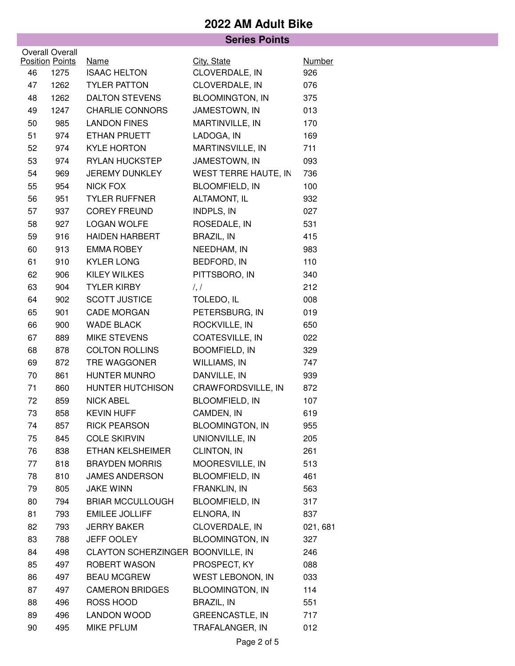|                        |                        |                                   | <b>Series Points</b>    |               |  |  |
|------------------------|------------------------|-----------------------------------|-------------------------|---------------|--|--|
| <b>Overall Overall</b> |                        |                                   |                         |               |  |  |
|                        | <b>Position Points</b> | <b>Name</b>                       | City, State             | <b>Number</b> |  |  |
| 46                     | 1275                   | <b>ISAAC HELTON</b>               | CLOVERDALE, IN          | 926           |  |  |
| 47                     | 1262                   | <b>TYLER PATTON</b>               | CLOVERDALE, IN          | 076           |  |  |
| 48                     | 1262                   | <b>DALTON STEVENS</b>             | <b>BLOOMINGTON, IN</b>  | 375           |  |  |
| 49                     | 1247                   | <b>CHARLIE CONNORS</b>            | JAMESTOWN, IN           | 013           |  |  |
| 50                     | 985                    | <b>LANDON FINES</b>               | MARTINVILLE, IN         | 170           |  |  |
| 51                     | 974                    | ETHAN PRUETT                      | LADOGA, IN              | 169           |  |  |
| 52                     | 974                    | <b>KYLE HORTON</b>                | MARTINSVILLE, IN        | 711           |  |  |
| 53                     | 974                    | <b>RYLAN HUCKSTEP</b>             | JAMESTOWN, IN           | 093           |  |  |
| 54                     | 969                    | JEREMY DUNKLEY                    | WEST TERRE HAUTE, IN    | 736           |  |  |
| 55                     | 954                    | <b>NICK FOX</b>                   | <b>BLOOMFIELD, IN</b>   | 100           |  |  |
| 56                     | 951                    | <b>TYLER RUFFNER</b>              | ALTAMONT, IL            | 932           |  |  |
| 57                     | 937                    | <b>COREY FREUND</b>               | <b>INDPLS, IN</b>       | 027           |  |  |
| 58                     | 927                    | <b>LOGAN WOLFE</b>                | ROSEDALE, IN            | 531           |  |  |
| 59                     | 916                    | <b>HAIDEN HARBERT</b>             | <b>BRAZIL, IN</b>       | 415           |  |  |
| 60                     | 913                    | <b>EMMA ROBEY</b>                 | NEEDHAM, IN             | 983           |  |  |
| 61                     | 910                    | <b>KYLER LONG</b>                 | BEDFORD, IN             | 110           |  |  |
| 62                     | 906                    | KILEY WILKES                      | PITTSBORO, IN           | 340           |  |  |
| 63                     | 904                    | <b>TYLER KIRBY</b>                | $\frac{1}{2}$           | 212           |  |  |
| 64                     | 902                    | <b>SCOTT JUSTICE</b>              | TOLEDO, IL              | 008           |  |  |
| 65                     | 901                    | <b>CADE MORGAN</b>                | PETERSBURG, IN          | 019           |  |  |
| 66                     | 900                    | <b>WADE BLACK</b>                 | ROCKVILLE, IN           | 650           |  |  |
| 67                     | 889                    | <b>MIKE STEVENS</b>               | COATESVILLE, IN         | 022           |  |  |
| 68                     | 878                    | <b>COLTON ROLLINS</b>             | <b>BOOMFIELD, IN</b>    | 329           |  |  |
| 69                     | 872                    | TRE WAGGONER                      | WILLIAMS, IN            | 747           |  |  |
| 70                     | 861                    | HUNTER MUNRO                      | DANVILLE, IN            | 939           |  |  |
| 71                     | 860                    | HUNTER HUTCHISON                  | CRAWFORDSVILLE, IN      | 872           |  |  |
| 72                     | 859                    | <b>NICK ABEL</b>                  | <b>BLOOMFIELD, IN</b>   | 107           |  |  |
| 73                     | 858                    | <b>KEVIN HUFF</b>                 | CAMDEN, IN              | 619           |  |  |
| 74                     | 857                    | <b>RICK PEARSON</b>               | <b>BLOOMINGTON, IN</b>  | 955           |  |  |
| 75                     | 845                    | <b>COLE SKIRVIN</b>               | UNIONVILLE, IN          | 205           |  |  |
| 76                     | 838                    | ETHAN KELSHEIMER                  | <b>CLINTON, IN</b>      | 261           |  |  |
| 77                     | 818                    | <b>BRAYDEN MORRIS</b>             | MOORESVILLE, IN         | 513           |  |  |
| 78                     | 810                    | <b>JAMES ANDERSON</b>             | <b>BLOOMFIELD, IN</b>   | 461           |  |  |
| 79                     | 805                    | <b>JAKE WINN</b>                  | FRANKLIN, IN            | 563           |  |  |
| 80                     | 794                    | <b>BRIAR MCCULLOUGH</b>           | <b>BLOOMFIELD, IN</b>   | 317           |  |  |
| 81                     | 793                    | <b>EMILEE JOLLIFF</b>             | ELNORA, IN              | 837           |  |  |
| 82                     | 793                    | <b>JERRY BAKER</b>                | CLOVERDALE, IN          | 021, 681      |  |  |
| 83                     | 788                    | <b>JEFF OOLEY</b>                 | <b>BLOOMINGTON, IN</b>  | 327           |  |  |
| 84                     | 498                    | CLAYTON SCHERZINGER BOONVILLE, IN |                         | 246           |  |  |
| 85                     | 497                    | ROBERT WASON                      | PROSPECT, KY            | 088           |  |  |
| 86                     | 497                    | <b>BEAU MCGREW</b>                | <b>WEST LEBONON, IN</b> | 033           |  |  |
| 87                     | 497                    | <b>CAMERON BRIDGES</b>            | <b>BLOOMINGTON, IN</b>  | 114           |  |  |
| 88                     | 496                    | ROSS HOOD                         | <b>BRAZIL, IN</b>       | 551           |  |  |
| 89                     | 496                    | <b>LANDON WOOD</b>                | <b>GREENCASTLE, IN</b>  | 717           |  |  |
| 90                     | 495                    | MIKE PFLUM                        | TRAFALANGER, IN         | 012           |  |  |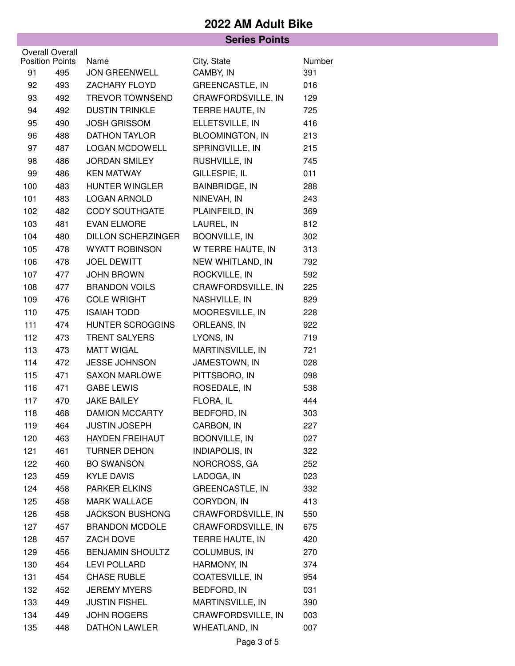|                        |     | <b>Series Points</b>      |                        |               |  |
|------------------------|-----|---------------------------|------------------------|---------------|--|
| <b>Overall Overall</b> |     |                           |                        |               |  |
| <b>Position Points</b> |     | <b>Name</b>               | City, State            | <b>Number</b> |  |
| 91                     | 495 | <b>JON GREENWELL</b>      | CAMBY, IN              | 391           |  |
| 92                     | 493 | ZACHARY FLOYD             | <b>GREENCASTLE, IN</b> | 016           |  |
| 93                     | 492 | <b>TREVOR TOWNSEND</b>    | CRAWFORDSVILLE, IN     | 129           |  |
| 94                     | 492 | <b>DUSTIN TRINKLE</b>     | TERRE HAUTE, IN        | 725           |  |
| 95                     | 490 | <b>JOSH GRISSOM</b>       | ELLETSVILLE, IN        | 416           |  |
| 96                     | 488 | <b>DATHON TAYLOR</b>      | <b>BLOOMINGTON, IN</b> | 213           |  |
| 97                     | 487 | <b>LOGAN MCDOWELL</b>     | SPRINGVILLE, IN        | 215           |  |
| 98                     | 486 | <b>JORDAN SMILEY</b>      | RUSHVILLE, IN          | 745           |  |
| 99                     | 486 | <b>KEN MATWAY</b>         | GILLESPIE, IL          | 011           |  |
| 100                    | 483 | <b>HUNTER WINGLER</b>     | <b>BAINBRIDGE, IN</b>  | 288           |  |
| 101                    | 483 | <b>LOGAN ARNOLD</b>       | NINEVAH, IN            | 243           |  |
| 102                    | 482 | <b>CODY SOUTHGATE</b>     | PLAINFEILD, IN         | 369           |  |
| 103                    | 481 | <b>EVAN ELMORE</b>        | LAUREL, IN             | 812           |  |
| 104                    | 480 | <b>DILLON SCHERZINGER</b> | BOONVILLE, IN          | 302           |  |
| 105                    | 478 | <b>WYATT ROBINSON</b>     | W TERRE HAUTE, IN      | 313           |  |
| 106                    | 478 | <b>JOEL DEWITT</b>        | NEW WHITLAND, IN       | 792           |  |
| 107                    | 477 | <b>JOHN BROWN</b>         | ROCKVILLE, IN          | 592           |  |
| 108                    | 477 | <b>BRANDON VOILS</b>      | CRAWFORDSVILLE, IN     | 225           |  |
| 109                    | 476 | <b>COLE WRIGHT</b>        | NASHVILLE, IN          | 829           |  |
| 110                    | 475 | <b>ISAIAH TODD</b>        | MOORESVILLE, IN        | 228           |  |
| 111                    | 474 | HUNTER SCROGGINS          | ORLEANS, IN            | 922           |  |
| 112                    | 473 | <b>TRENT SALYERS</b>      | LYONS, IN              | 719           |  |
| 113                    | 473 | <b>MATT WIGAL</b>         | MARTINSVILLE, IN       | 721           |  |
| 114                    | 472 | <b>JESSE JOHNSON</b>      | JAMESTOWN, IN          | 028           |  |
| 115                    | 471 | <b>SAXON MARLOWE</b>      | PITTSBORO, IN          | 098           |  |
| 116                    | 471 | <b>GABE LEWIS</b>         | ROSEDALE, IN           | 538           |  |
| 117                    | 470 | <b>JAKE BAILEY</b>        | FLORA, IL              | 444           |  |
| 118                    | 468 | <b>DAMION MCCARTY</b>     | BEDFORD, IN            | 303           |  |
| 119                    | 464 | <b>JUSTIN JOSEPH</b>      | CARBON, IN             | 227           |  |
| 120                    | 463 | <b>HAYDEN FREIHAUT</b>    | <b>BOONVILLE, IN</b>   | 027           |  |
| 121                    | 461 | <b>TURNER DEHON</b>       | <b>INDIAPOLIS, IN</b>  | 322           |  |
| 122                    | 460 | <b>BO SWANSON</b>         | NORCROSS, GA           | 252           |  |
| 123                    | 459 | <b>KYLE DAVIS</b>         | LADOGA, IN             | 023           |  |
| 124                    | 458 | <b>PARKER ELKINS</b>      | <b>GREENCASTLE, IN</b> | 332           |  |
| 125                    | 458 | <b>MARK WALLACE</b>       | CORYDON, IN            | 413           |  |
| 126                    | 458 | <b>JACKSON BUSHONG</b>    | CRAWFORDSVILLE, IN     | 550           |  |
| 127                    | 457 | <b>BRANDON MCDOLE</b>     | CRAWFORDSVILLE, IN     | 675           |  |
| 128                    | 457 | ZACH DOVE                 | TERRE HAUTE, IN        | 420           |  |
| 129                    | 456 | <b>BENJAMIN SHOULTZ</b>   | COLUMBUS, IN           | 270           |  |
| 130                    | 454 | LEVI POLLARD              | HARMONY, IN            | 374           |  |
| 131                    | 454 | <b>CHASE RUBLE</b>        | COATESVILLE, IN        | 954           |  |
| 132                    | 452 | <b>JEREMY MYERS</b>       | BEDFORD, IN            | 031           |  |
| 133                    | 449 | <b>JUSTIN FISHEL</b>      | MARTINSVILLE, IN       | 390           |  |
| 134                    | 449 | <b>JOHN ROGERS</b>        | CRAWFORDSVILLE, IN     | 003           |  |
| 135                    | 448 | <b>DATHON LAWLER</b>      | WHEATLAND, IN          | 007           |  |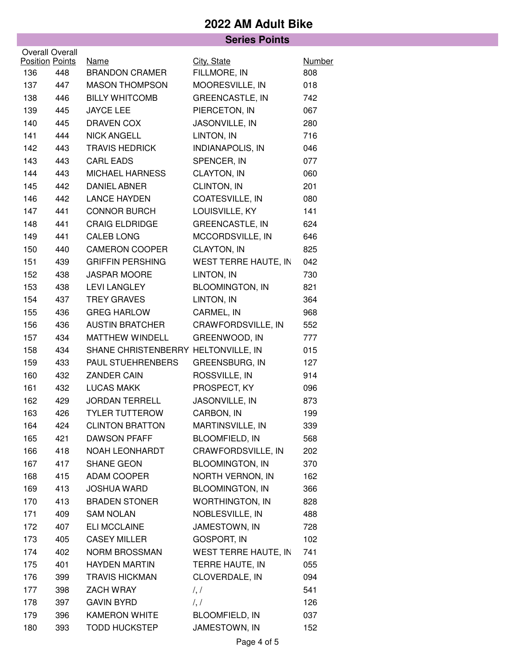|                        |     |                                     | <b>Series Points</b>   |               |
|------------------------|-----|-------------------------------------|------------------------|---------------|
| Overall Overall        |     |                                     |                        |               |
| <b>Position Points</b> |     | <b>Name</b>                         | City, State            | <b>Number</b> |
| 136                    | 448 | <b>BRANDON CRAMER</b>               | FILLMORE, IN           | 808           |
| 137                    | 447 | <b>MASON THOMPSON</b>               | MOORESVILLE, IN        | 018           |
| 138                    | 446 | <b>BILLY WHITCOMB</b>               | <b>GREENCASTLE, IN</b> | 742           |
| 139                    | 445 | <b>JAYCE LEE</b>                    | PIERCETON, IN          | 067           |
| 140                    | 445 | DRAVEN COX                          | JASONVILLE, IN         | 280           |
| 141                    | 444 | <b>NICK ANGELL</b>                  | LINTON, IN             | 716           |
| 142                    | 443 | <b>TRAVIS HEDRICK</b>               | INDIANAPOLIS, IN       | 046           |
| 143                    | 443 | <b>CARL EADS</b>                    | SPENCER, IN            | 077           |
| 144                    | 443 | MICHAEL HARNESS                     | CLAYTON, IN            | 060           |
| 145                    | 442 | DANIEL ABNER                        | CLINTON, IN            | 201           |
| 146                    | 442 | <b>LANCE HAYDEN</b>                 | COATESVILLE, IN        | 080           |
| 147                    | 441 | <b>CONNOR BURCH</b>                 | LOUISVILLE, KY         | 141           |
| 148                    | 441 | <b>CRAIG ELDRIDGE</b>               | <b>GREENCASTLE, IN</b> | 624           |
| 149                    | 441 | <b>CALEB LONG</b>                   | MCCORDSVILLE, IN       | 646           |
| 150                    | 440 | <b>CAMERON COOPER</b>               | CLAYTON, IN            | 825           |
| 151                    | 439 | <b>GRIFFIN PERSHING</b>             | WEST TERRE HAUTE, IN   | 042           |
| 152                    | 438 | <b>JASPAR MOORE</b>                 | LINTON, IN             | 730           |
| 153                    | 438 | <b>LEVI LANGLEY</b>                 | <b>BLOOMINGTON, IN</b> | 821           |
| 154                    | 437 | <b>TREY GRAVES</b>                  | LINTON, IN             | 364           |
| 155                    | 436 | <b>GREG HARLOW</b>                  | CARMEL, IN             | 968           |
| 156                    | 436 | <b>AUSTIN BRATCHER</b>              | CRAWFORDSVILLE, IN     | 552           |
| 157                    | 434 | MATTHEW WINDELL                     | GREENWOOD, IN          | 777           |
| 158                    | 434 | SHANE CHRISTENBERRY HELTONVILLE, IN |                        | 015           |
| 159                    | 433 | PAUL STUEHRENBERS                   | GREENSBURG, IN         | 127           |
| 160                    | 432 | ZANDER CAIN                         | ROSSVILLE, IN          | 914           |
| 161                    | 432 | <b>LUCAS MAKK</b>                   | PROSPECT, KY           | 096           |
| 162                    | 429 | <b>JORDAN TERRELL</b>               | <b>JASONVILLE, IN</b>  | 873           |
| 163                    | 426 | <b>TYLER TUTTEROW</b>               | CARBON, IN             | 199           |
| 164                    | 424 | <b>CLINTON BRATTON</b>              | MARTINSVILLE, IN       | 339           |
| 165                    | 421 | DAWSON PFAFF                        | <b>BLOOMFIELD, IN</b>  | 568           |
| 166                    | 418 | NOAH LEONHARDT                      | CRAWFORDSVILLE, IN     | 202           |
| 167                    | 417 | SHANE GEON                          | <b>BLOOMINGTON, IN</b> | 370           |
| 168                    | 415 | ADAM COOPER                         | NORTH VERNON, IN       | 162           |
| 169                    | 413 | <b>JOSHUA WARD</b>                  | <b>BLOOMINGTON, IN</b> | 366           |
| 170                    | 413 | <b>BRADEN STONER</b>                | <b>WORTHINGTON, IN</b> | 828           |
| 171                    | 409 | <b>SAM NOLAN</b>                    | NOBLESVILLE, IN        | 488           |
| 172                    | 407 | ELI MCCLAINE                        | JAMESTOWN, IN          | 728           |
| 173                    | 405 | <b>CASEY MILLER</b>                 | <b>GOSPORT, IN</b>     | 102           |
| 174                    | 402 | NORM BROSSMAN                       | WEST TERRE HAUTE, IN   | 741           |
| 175                    | 401 | <b>HAYDEN MARTIN</b>                | TERRE HAUTE, IN        | 055           |
| 176                    | 399 | <b>TRAVIS HICKMAN</b>               | CLOVERDALE, IN         | 094           |
| 177                    | 398 | ZACH WRAY                           | $\frac{1}{2}$          | 541           |
| 178                    | 397 | <b>GAVIN BYRD</b>                   | $\frac{1}{2}$          | 126           |
| 179                    | 396 | <b>KAMERON WHITE</b>                | <b>BLOOMFIELD, IN</b>  | 037           |
| 180                    | 393 | <b>TODD HUCKSTEP</b>                | JAMESTOWN, IN          | 152           |